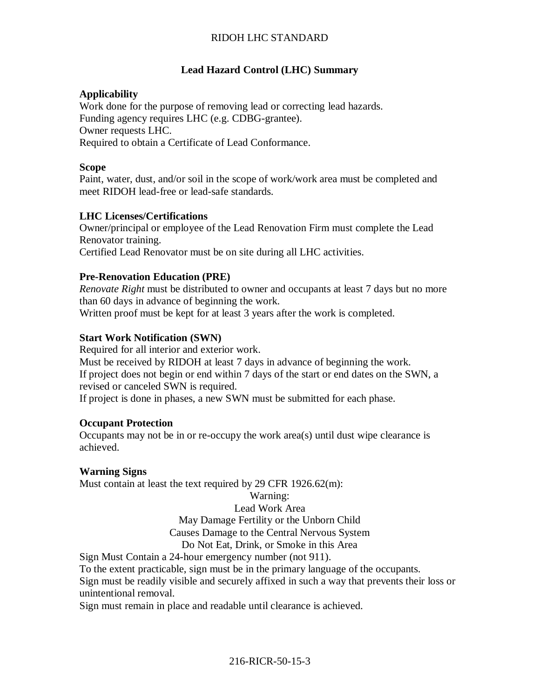# RIDOH LHC STANDARD

### **Lead Hazard Control (LHC) Summary**

#### **Applicability**

Work done for the purpose of removing lead or correcting lead hazards. Funding agency requires LHC (e.g. CDBG-grantee). Owner requests LHC. Required to obtain a Certificate of Lead Conformance.

#### **Scope**

Paint, water, dust, and/or soil in the scope of work/work area must be completed and meet RIDOH lead-free or lead-safe standards.

#### **LHC Licenses/Certifications**

Owner/principal or employee of the Lead Renovation Firm must complete the Lead Renovator training. Certified Lead Renovator must be on site during all LHC activities.

### **Pre-Renovation Education (PRE)**

*Renovate Right* must be distributed to owner and occupants at least 7 days but no more than 60 days in advance of beginning the work.

Written proof must be kept for at least 3 years after the work is completed.

#### **Start Work Notification (SWN)**

Required for all interior and exterior work.

Must be received by RIDOH at least 7 days in advance of beginning the work. If project does not begin or end within 7 days of the start or end dates on the SWN, a revised or canceled SWN is required.

If project is done in phases, a new SWN must be submitted for each phase.

#### **Occupant Protection**

Occupants may not be in or re-occupy the work area(s) until dust wipe clearance is achieved.

#### **Warning Signs**

Must contain at least the text required by 29 CFR 1926.62(m):

# Warning:

# Lead Work Area May Damage Fertility or the Unborn Child Causes Damage to the Central Nervous System

### Do Not Eat, Drink, or Smoke in this Area

Sign Must Contain a 24-hour emergency number (not 911).

To the extent practicable, sign must be in the primary language of the occupants.

Sign must be readily visible and securely affixed in such a way that prevents their loss or unintentional removal.

Sign must remain in place and readable until clearance is achieved.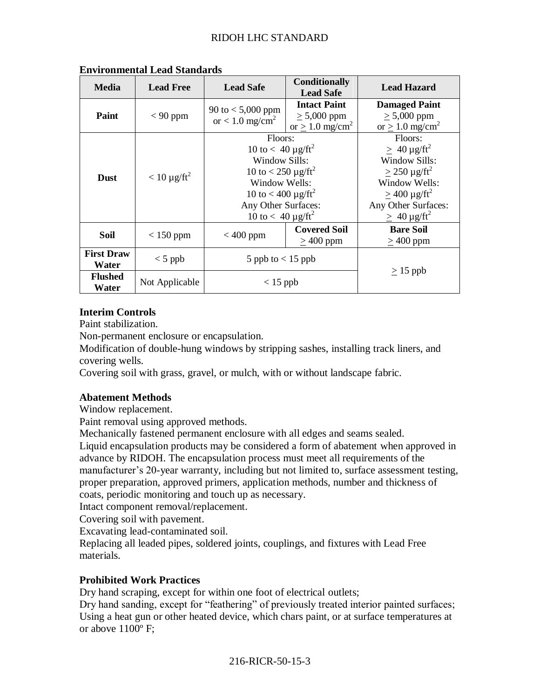| <b>Media</b>               | <b>Lead Free</b>  | <b>Lead Safe</b>                                                                                                                                                                                                              | <b>Conditionally</b><br><b>Lead Safe</b>                                 | <b>Lead Hazard</b>                                                                                                                                                                             |
|----------------------------|-------------------|-------------------------------------------------------------------------------------------------------------------------------------------------------------------------------------------------------------------------------|--------------------------------------------------------------------------|------------------------------------------------------------------------------------------------------------------------------------------------------------------------------------------------|
| Paint                      | $< 90$ ppm        | 90 to $< 5,000$ ppm<br>or $< 1.0$ mg/cm <sup>2</sup>                                                                                                                                                                          | <b>Intact Paint</b><br>$\geq 5,000$ ppm<br>or $> 1.0$ mg/cm <sup>2</sup> | <b>Damaged Paint</b><br>$\geq 5,000$ ppm<br>or $> 1.0$ mg/cm <sup>2</sup>                                                                                                                      |
| <b>Dust</b>                | $< 10 \mu g/ft^2$ | Floors:<br>10 to $< 40 \mu g / \text{ft}^2$<br><b>Window Sills:</b><br>10 to < 250 $\mu$ g/ft <sup>2</sup><br>Window Wells:<br>10 to < 400 $\mu$ g/ft <sup>2</sup><br>Any Other Surfaces:<br>10 to $< 40 \mu g / \text{ft}^2$ |                                                                          | Floors:<br>$\geq 40 \mu g / \text{ft}^2$<br>Window Sills:<br>$>$ 250 µg/ft <sup>2</sup><br>Window Wells:<br>$>$ 400 µg/ft <sup>2</sup><br>Any Other Surfaces:<br>$\geq 40 \mu g / \text{ft}^2$ |
| Soil                       | $< 150$ ppm       | $< 400$ ppm                                                                                                                                                                                                                   | <b>Covered Soil</b><br>$\geq$ 400 ppm                                    | <b>Bare Soil</b><br>$>400$ ppm                                                                                                                                                                 |
| <b>First Draw</b><br>Water | $<$ 5 ppb         | 5 ppb to $< 15$ ppb                                                                                                                                                                                                           |                                                                          |                                                                                                                                                                                                |
| <b>Flushed</b><br>Water    | Not Applicable    | $<$ 15 ppb                                                                                                                                                                                                                    |                                                                          | $\geq$ 15 ppb                                                                                                                                                                                  |

### **Environmental Lead Standards**

## **Interim Controls**

Paint stabilization.

Non-permanent enclosure or encapsulation.

Modification of double-hung windows by stripping sashes, installing track liners, and covering wells.

Covering soil with grass, gravel, or mulch, with or without landscape fabric.

#### **Abatement Methods**

Window replacement.

Paint removal using approved methods.

Mechanically fastened permanent enclosure with all edges and seams sealed.

Liquid encapsulation products may be considered a form of abatement when approved in advance by RIDOH. The encapsulation process must meet all requirements of the manufacturer's 20-year warranty, including but not limited to, surface assessment testing, proper preparation, approved primers, application methods, number and thickness of coats, periodic monitoring and touch up as necessary.

Intact component removal/replacement.

Covering soil with pavement.

Excavating lead-contaminated soil.

Replacing all leaded pipes, soldered joints, couplings, and fixtures with Lead Free materials.

## **Prohibited Work Practices**

Dry hand scraping, except for within one foot of electrical outlets;

Dry hand sanding, except for "feathering" of previously treated interior painted surfaces; Using a heat gun or other heated device, which chars paint, or at surface temperatures at or above 1100º F;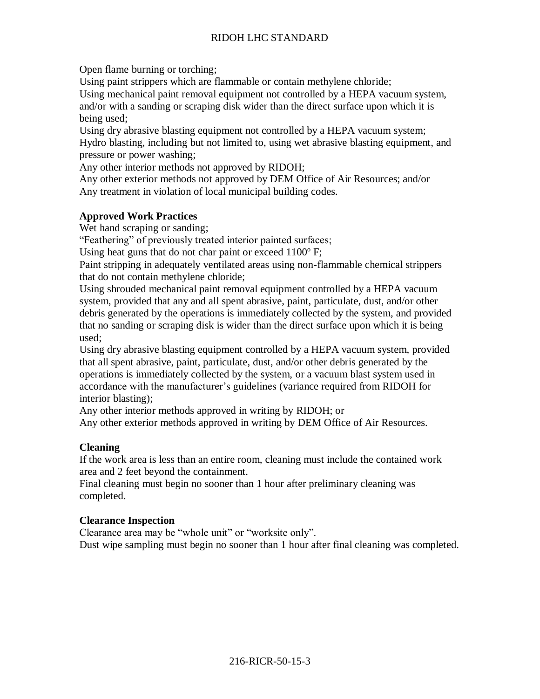## RIDOH LHC STANDARD

Open flame burning or torching;

Using paint strippers which are flammable or contain methylene chloride;

Using mechanical paint removal equipment not controlled by a HEPA vacuum system, and/or with a sanding or scraping disk wider than the direct surface upon which it is being used;

Using dry abrasive blasting equipment not controlled by a HEPA vacuum system; Hydro blasting, including but not limited to, using wet abrasive blasting equipment, and pressure or power washing;

Any other interior methods not approved by RIDOH;

Any other exterior methods not approved by DEM Office of Air Resources; and/or Any treatment in violation of local municipal building codes.

## **Approved Work Practices**

Wet hand scraping or sanding;

"Feathering" of previously treated interior painted surfaces;

Using heat guns that do not char paint or exceed 1100º F;

Paint stripping in adequately ventilated areas using non-flammable chemical strippers that do not contain methylene chloride;

Using shrouded mechanical paint removal equipment controlled by a HEPA vacuum system, provided that any and all spent abrasive, paint, particulate, dust, and/or other debris generated by the operations is immediately collected by the system, and provided that no sanding or scraping disk is wider than the direct surface upon which it is being used;

Using dry abrasive blasting equipment controlled by a HEPA vacuum system, provided that all spent abrasive, paint, particulate, dust, and/or other debris generated by the operations is immediately collected by the system, or a vacuum blast system used in accordance with the manufacturer's guidelines (variance required from RIDOH for interior blasting);

Any other interior methods approved in writing by RIDOH; or

Any other exterior methods approved in writing by DEM Office of Air Resources.

## **Cleaning**

If the work area is less than an entire room, cleaning must include the contained work area and 2 feet beyond the containment.

Final cleaning must begin no sooner than 1 hour after preliminary cleaning was completed.

#### **Clearance Inspection**

Clearance area may be "whole unit" or "worksite only". Dust wipe sampling must begin no sooner than 1 hour after final cleaning was completed.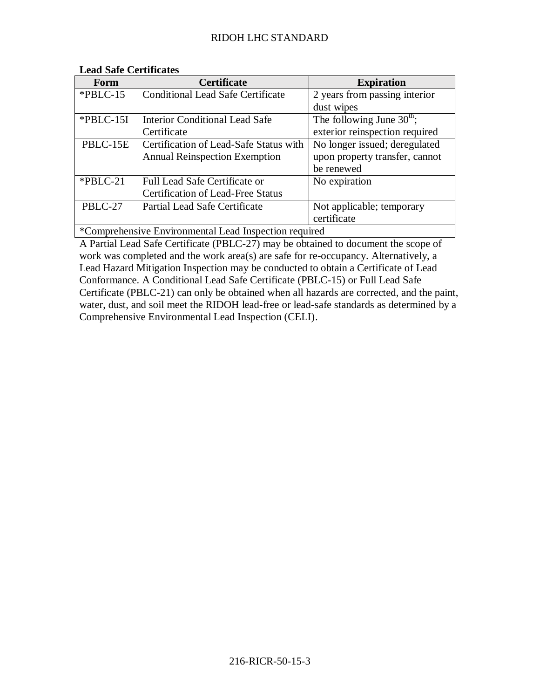| Form                                                  | Certificate                              | <b>Expiration</b>                     |  |  |
|-------------------------------------------------------|------------------------------------------|---------------------------------------|--|--|
| $*PBLC-15$                                            | <b>Conditional Lead Safe Certificate</b> | 2 years from passing interior         |  |  |
|                                                       |                                          | dust wipes                            |  |  |
| *PBLC-15I                                             | <b>Interior Conditional Lead Safe</b>    | The following June $30^{\text{th}}$ ; |  |  |
|                                                       | Certificate                              | exterior reinspection required        |  |  |
| PBLC-15E                                              | Certification of Lead-Safe Status with   | No longer issued; deregulated         |  |  |
|                                                       | <b>Annual Reinspection Exemption</b>     | upon property transfer, cannot        |  |  |
|                                                       |                                          | be renewed                            |  |  |
| $*PBLC-21$                                            | <b>Full Lead Safe Certificate or</b>     | No expiration                         |  |  |
|                                                       | <b>Certification of Lead-Free Status</b> |                                       |  |  |
| PBLC-27                                               | Partial Lead Safe Certificate            | Not applicable; temporary             |  |  |
|                                                       |                                          | certificate                           |  |  |
| *Comprehensive Environmental Lead Inspection required |                                          |                                       |  |  |

### **Lead Safe Certificates**

A Partial Lead Safe Certificate (PBLC-27) may be obtained to document the scope of work was completed and the work area(s) are safe for re-occupancy. Alternatively, a Lead Hazard Mitigation Inspection may be conducted to obtain a Certificate of Lead Conformance. A Conditional Lead Safe Certificate (PBLC-15) or Full Lead Safe Certificate (PBLC-21) can only be obtained when all hazards are corrected, and the paint, water, dust, and soil meet the RIDOH lead-free or lead-safe standards as determined by a Comprehensive Environmental Lead Inspection (CELI).